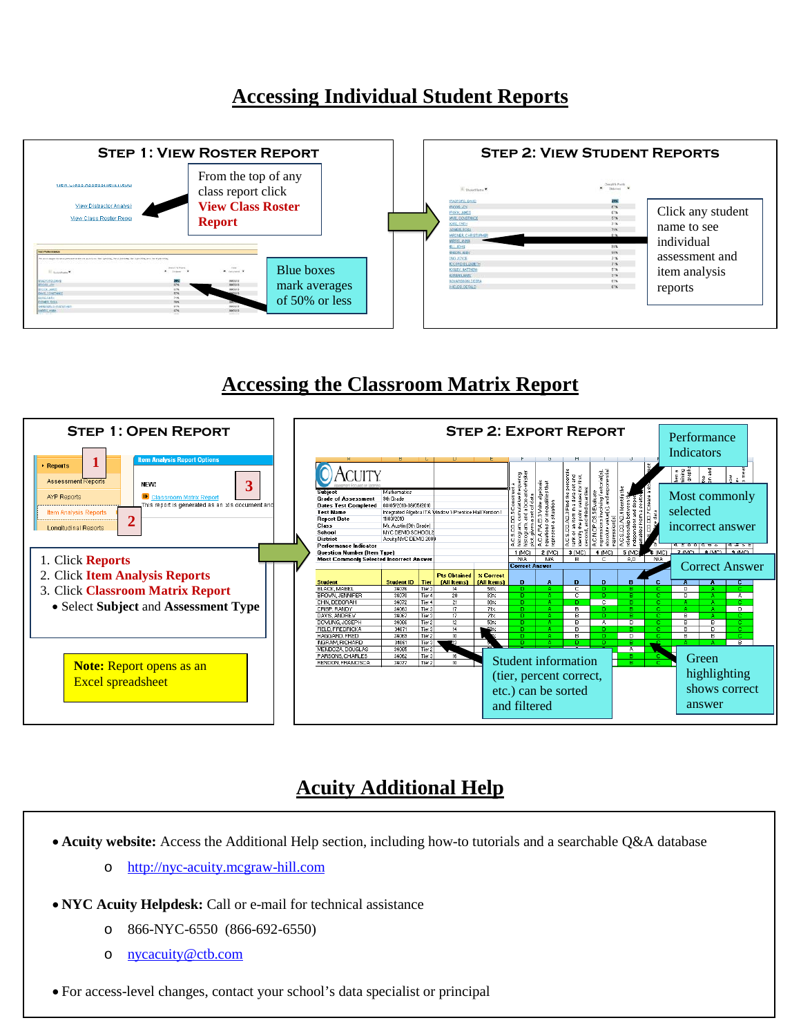## **Accessing Individual Student Reports**



## **Accessing the Classroom Matrix Report**



## **Acuity Additional Help**

• **Acuity website:** Access the Additional Help section, including how-to tutorials and a searchable Q&A database

- o [http://nyc-acuity.mcgraw-hill.com](http://nyc-acuity.mcgraw-hill.com/)
- **NYC Acuity Helpdesk:** Call or e-mail for technical assistance
	- o 866-NYC-6550 (866-692-6550)
	- o [nycacuity@ctb.com](mailto:nycacuity@ctb.com)

• For access-level changes, contact your school's data specialist or principal